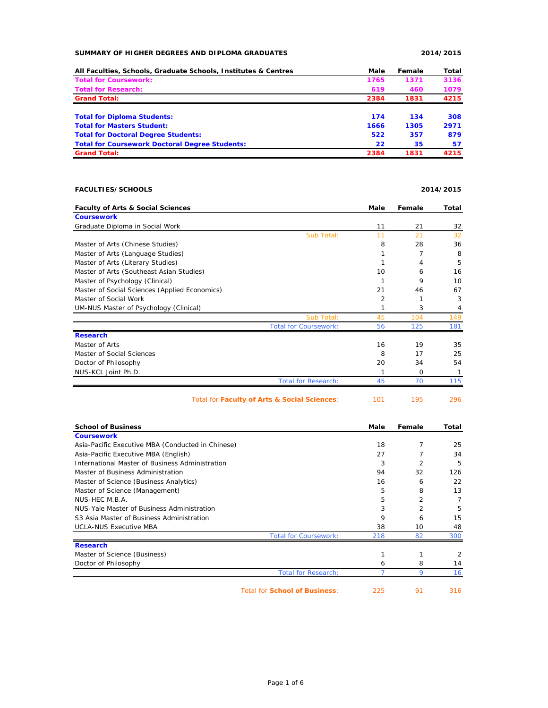## **SUMMARY OF HIGHER DEGREES AND DIPLOMA GRADUATES 2014/2015**

| All Faculties, Schools, Graduate Schools, Institutes & Centres | Male | Female | Total |
|----------------------------------------------------------------|------|--------|-------|
| <b>Total for Coursework:</b>                                   | 1765 | 1371   | 3136  |
| <b>Total for Research:</b>                                     | 619  | 460    | 1079  |
| <b>Grand Total:</b>                                            | 2384 | 1831   | 4215  |
| <b>Total for Diploma Students:</b>                             | 174  | 134    | 308   |
| <b>Total for Masters Student:</b>                              | 1666 | 1305   | 2971  |
| <b>Total for Doctoral Degree Students:</b>                     | 522  | 357    | 879   |
| <b>Total for Coursework Doctoral Degree Students:</b>          | 22   | 35     | 57    |
| <b>Grand Total:</b>                                            | 2384 | 1831   | 4215  |

## **FACULTIES/SCHOOLS 2014/2015**

Total for **Faculty of Arts & Social Sciences**: 101 195 296

| <b>Faculty of Arts &amp; Social Sciences</b>  |                              | Male | Female | Total |
|-----------------------------------------------|------------------------------|------|--------|-------|
| <b>Coursework</b>                             |                              |      |        |       |
| Graduate Diploma in Social Work               |                              | 11   | 21     | 32    |
|                                               | Sub Total:                   | 11   | 21     | 32    |
| Master of Arts (Chinese Studies)              |                              | 8    | 28     | 36    |
| Master of Arts (Language Studies)             |                              |      |        | 8     |
| Master of Arts (Literary Studies)             |                              |      | 4      | 5     |
| Master of Arts (Southeast Asian Studies)      |                              | 10   | 6      | 16    |
| Master of Psychology (Clinical)               |                              |      | 9      | 10    |
| Master of Social Sciences (Applied Economics) |                              | 21   | 46     | 67    |
| Master of Social Work                         |                              | 2    |        | 3     |
| UM-NUS Master of Psychology (Clinical)        |                              | 1    | 3      | 4     |
|                                               | Sub Total:                   | 45   | 104    | 149   |
|                                               | <b>Total for Coursework:</b> | 56   | 125    | 181   |
| <b>Research</b>                               |                              |      |        |       |
| Master of Arts                                |                              | 16   | 19     | 35    |
| Master of Social Sciences                     |                              | 8    | 17     | 25    |
| Doctor of Philosophy                          |                              | 20   | 34     | 54    |
| NUS-KCL Joint Ph.D.                           |                              |      | 0      |       |
|                                               | <b>Total for Research:</b>   | 45   | 70     | 115   |

|  | Total for Faculty of Arts & Social Sciences: | 101 |
|--|----------------------------------------------|-----|
|--|----------------------------------------------|-----|

| <b>School of Business</b>                         |                                      | Male | Female | Total |
|---------------------------------------------------|--------------------------------------|------|--------|-------|
| <b>Coursework</b>                                 |                                      |      |        |       |
| Asia-Pacific Executive MBA (Conducted in Chinese) |                                      | 18   | 7      | 25    |
| Asia-Pacific Executive MBA (English)              |                                      | 27   |        | 34    |
| International Master of Business Administration   |                                      | 3    | 2      | 5     |
| Master of Business Administration                 |                                      | 94   | 32     | 126   |
| Master of Science (Business Analytics)            |                                      | 16   | 6      | 22    |
| Master of Science (Management)                    |                                      | 5    | 8      | 13    |
| NUS-HEC M.B.A.                                    |                                      | 5    | 2      | 7     |
| NUS-Yale Master of Business Administration        |                                      | 3    | 2      | 5     |
| S3 Asia Master of Business Administration         |                                      | 9    | 6      | 15    |
| <b>UCLA-NUS Executive MBA</b>                     |                                      | 38   | 10     | 48    |
|                                                   | <b>Total for Coursework:</b>         | 218  | 82     | 300   |
| <b>Research</b>                                   |                                      |      |        |       |
| Master of Science (Business)                      |                                      |      |        | 2     |
| Doctor of Philosophy                              |                                      | 6    | 8      | 14    |
|                                                   | <b>Total for Research:</b>           |      | 9      | 16    |
|                                                   | <b>Total for School of Business:</b> | 225  | 91     | 316   |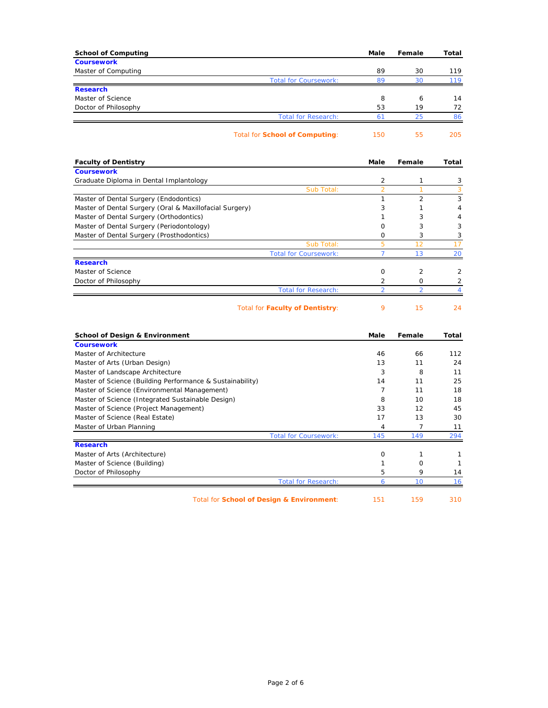| <b>School of Computing</b> |                                | Male           | Female | Total |
|----------------------------|--------------------------------|----------------|--------|-------|
| <b>Coursework</b>          |                                |                |        |       |
| Master of Computing        |                                | 89             | 30     | 119   |
|                            | <b>Total for Coursework:</b>   | 89             | 30     | 119   |
| <b>Research</b>            |                                |                |        |       |
| Master of Science          |                                | 8              | 6      | 14    |
| Doctor of Philosophy       |                                | 53             | 19     | 72    |
|                            | <b>Total for Research:</b>     | 6 <sup>7</sup> | 25     | 86    |
|                            | Total for School of Computing: | 150            | 55     | 205   |
|                            |                                |                |        |       |

| Sub Total: | $\overline{2}$<br>3                                        | 2  |        |
|------------|------------------------------------------------------------|----|--------|
|            |                                                            |    | 3<br>3 |
|            |                                                            |    |        |
|            |                                                            |    |        |
|            |                                                            |    |        |
|            |                                                            |    | 4      |
|            |                                                            | 3  | 4      |
|            | $\Omega$                                                   | 3  | 3      |
|            | <sup>o</sup>                                               | 3  | 3      |
| Sub Total: | 5                                                          | 12 | 17     |
|            |                                                            | 13 | 20     |
|            |                                                            |    |        |
|            | $\Omega$                                                   | 2  | 2      |
|            |                                                            | Ω  |        |
|            |                                                            |    |        |
|            | <b>Total for Coursework:</b><br><b>Total for Research:</b> |    |        |

Total for **Faculty of Dentistry**: 9 15 24

| <b>School of Design &amp; Environment</b>                 |     | Female | Total |
|-----------------------------------------------------------|-----|--------|-------|
| <b>Coursework</b>                                         |     |        |       |
| Master of Architecture                                    | 46  | 66     | 112   |
| Master of Arts (Urban Design)                             | 13  | 11     | 24    |
| Master of Landscape Architecture                          | 3   | 8      | 11    |
| Master of Science (Building Performance & Sustainability) | 14  | 11     | 25    |
| Master of Science (Environmental Management)              |     | 11     | 18    |
| Master of Science (Integrated Sustainable Design)         |     | 10     | 18    |
| Master of Science (Project Management)                    | 33  | 12     | 45    |
| Master of Science (Real Estate)                           | 17  | 13     | 30    |
| Master of Urban Planning                                  | 4   |        | 11    |
| <b>Total for Coursework:</b>                              | 145 | 149    | 294   |
| <b>Research</b>                                           |     |        |       |
| Master of Arts (Architecture)                             | Ω   |        |       |
| Master of Science (Building)                              |     | O      |       |
| Doctor of Philosophy                                      | 5   | 9      | 14    |
| <b>Total for Research:</b>                                | h   | 10     | 16    |
| Total for School of Design & Environment:                 | 151 | 159    | 310   |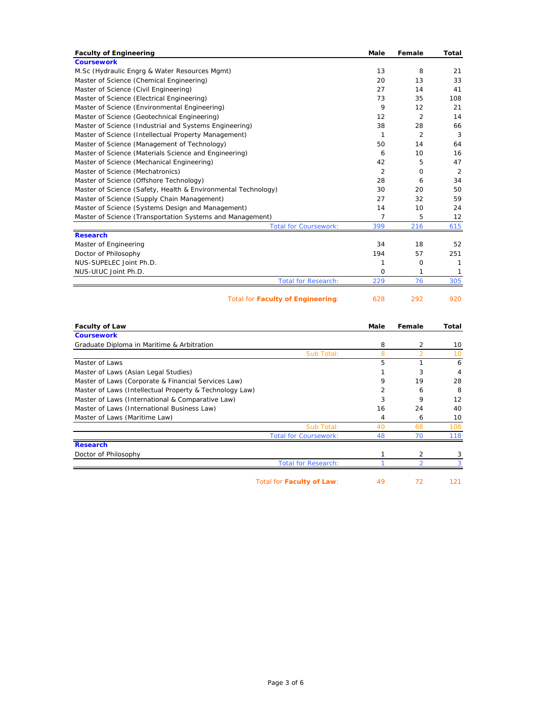| <b>Faculty of Engineering</b>                                 | <b>Male</b>    | Female         | Total |
|---------------------------------------------------------------|----------------|----------------|-------|
| <b>Coursework</b>                                             |                |                |       |
| M.Sc (Hydraulic Engrg & Water Resources Mgmt)                 | 13             | 8              | 21    |
| Master of Science (Chemical Engineering)                      | 20             | 13             | 33    |
| Master of Science (Civil Engineering)                         | 27             | 14             | 41    |
| Master of Science (Electrical Engineering)                    | 73             | 35             | 108   |
| Master of Science (Environmental Engineering)                 | 9              | 12             | 21    |
| Master of Science (Geotechnical Engineering)                  | 12             | 2              | 14    |
| Master of Science (Industrial and Systems Engineering)        | 38             | 28             | 66    |
| Master of Science (Intellectual Property Management)          | 1              | $\overline{2}$ | 3     |
| Master of Science (Management of Technology)                  | 50             | 14             | 64    |
| Master of Science (Materials Science and Engineering)         | 6              | 10             | 16    |
| Master of Science (Mechanical Engineering)                    | 42             | 5              | 47    |
| Master of Science (Mechatronics)                              | $\overline{2}$ | 0              | 2     |
| Master of Science (Offshore Technology)                       | 28             | 6              | 34    |
| Master of Science (Safety, Health & Environmental Technology) | 30             | 20             | 50    |
| Master of Science (Supply Chain Management)                   | 27             | 32             | 59    |
| Master of Science (Systems Design and Management)             | 14             | 10             | 24    |
| Master of Science (Transportation Systems and Management)     | 7              | 5              | 12    |
| <b>Total for Coursework:</b>                                  | 399            | 216            | 615   |
| <b>Research</b>                                               |                |                |       |
| Master of Engineering                                         | 34             | 18             | 52    |
| Doctor of Philosophy                                          | 194            | 57             | 251   |
| NUS-SUPELEC Joint Ph.D.                                       | 1              | 0              | 1     |
| NUS-UIUC Joint Ph.D.                                          | $\mathbf 0$    | 1              | 1     |
| <b>Total for Research:</b>                                    | 229            | 76             | 305   |
| Total for Faculty of Engineering:                             | 628            | 292            | 920   |

| <b>Faculty of Law</b>                                   | Male           | Female         | Total |
|---------------------------------------------------------|----------------|----------------|-------|
| <b>Coursework</b>                                       |                |                |       |
| Graduate Diploma in Maritime & Arbitration              | 8              | $\overline{2}$ | 10    |
| Sub Total:                                              | 8              | $\overline{2}$ | 10    |
| Master of Laws                                          | 5              | 1              | 6     |
| Master of Laws (Asian Legal Studies)                    |                | 3              | 4     |
| Master of Laws (Corporate & Financial Services Law)     | 9              | 19             | 28    |
| Master of Laws (Intellectual Property & Technology Law) | $\overline{2}$ | 6              | 8     |
| Master of Laws (International & Comparative Law)        | 3              | 9              | 12    |
| Master of Laws (International Business Law)             | 16             | 24             | 40    |
| Master of Laws (Maritime Law)                           | 4              | 6              | 10    |
| Sub Total:                                              | 40             | 68             | 108   |
| <b>Total for Coursework:</b>                            | 48             | 70             | 118   |
| <b>Research</b>                                         |                |                |       |
| Doctor of Philosophy                                    |                | 2              | 3     |
| <b>Total for Research:</b>                              |                |                |       |
| Total for Faculty of Law:                               | 49             | 72             | 121   |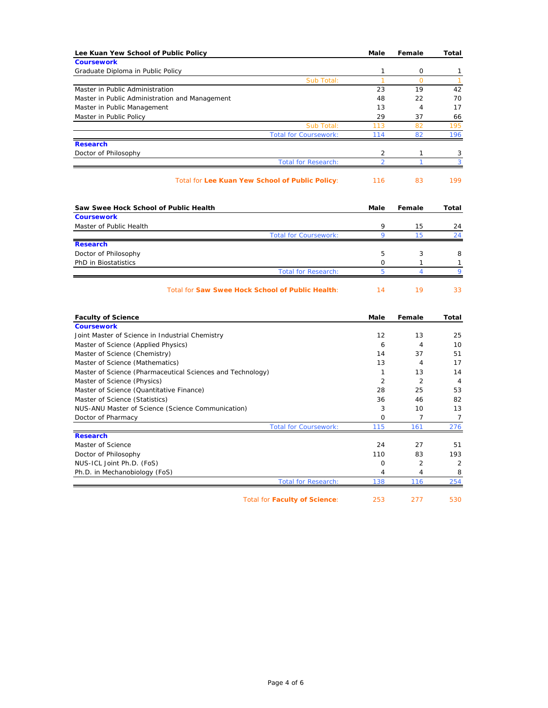| Lee Kuan Yew School of Public Policy                        | Male                         | Female              | Total                          |
|-------------------------------------------------------------|------------------------------|---------------------|--------------------------------|
| <b>Coursework</b>                                           |                              |                     |                                |
| Graduate Diploma in Public Policy<br>Sub Total:             | $\mathbf{1}$<br>$\mathbf{1}$ | 0<br>$\Omega$       | $\mathbf{1}$<br>$\overline{1}$ |
| Master in Public Administration                             | 23                           | 19                  | 42                             |
| Master in Public Administration and Management              | 48                           | 22                  | 70                             |
| Master in Public Management                                 | 13                           | 4                   | 17                             |
| Master in Public Policy                                     | 29                           | 37                  | 66                             |
| Sub Total:                                                  | 113                          | 82                  | 195                            |
| <b>Total for Coursework:</b>                                | 114                          | 82                  | 196                            |
| <b>Research</b>                                             |                              |                     |                                |
| Doctor of Philosophy                                        | 2                            | 1                   | 3                              |
| <b>Total for Research:</b>                                  | $\overline{a}$               | 1                   | 3                              |
| Total for Lee Kuan Yew School of Public Policy:             | 116                          | 83                  | 199                            |
| Saw Swee Hock School of Public Health                       | Male                         | Female              | Total                          |
| <b>Coursework</b>                                           |                              |                     |                                |
| Master of Public Health                                     | 9                            | 15                  | 24                             |
| <b>Total for Coursework:</b>                                | $\overline{Q}$               | 15                  | 24                             |
| <b>Research</b>                                             |                              |                     |                                |
| Doctor of Philosophy                                        | 5                            | 3                   | 8                              |
| PhD in Biostatistics<br><b>Total for Research:</b>          | 0<br>5                       | 1<br>4              | $\mathbf{1}$<br>9              |
|                                                             |                              |                     |                                |
| Total for Saw Swee Hock School of Public Health:            | 14                           | 19                  | 33                             |
| <b>Faculty of Science</b>                                   | Male                         | Female              | Total                          |
| <b>Coursework</b>                                           |                              |                     |                                |
| Joint Master of Science in Industrial Chemistry             | 12                           | 13                  | 25                             |
| Master of Science (Applied Physics)                         | 6                            | 4                   | 10                             |
| Master of Science (Chemistry)                               | 14                           | 37                  | 51                             |
| Master of Science (Mathematics)                             | 13                           | $\overline{4}$      | 17                             |
| Master of Science (Pharmaceutical Sciences and Technology)  | $\mathbf{1}$                 | 13                  | 14                             |
| Master of Science (Physics)                                 | 2                            | 2                   | $\overline{4}$                 |
| Master of Science (Quantitative Finance)                    | 28                           | 25                  | 53                             |
| Master of Science (Statistics)                              | 36                           | 46                  | 82                             |
| NUS-ANU Master of Science (Science Communication)           | 3                            | 10                  | 13                             |
| Doctor of Pharmacy                                          | $\mathbf 0$                  | $\overline{7}$      | $\overline{7}$                 |
| <b>Total for Coursework:</b>                                | 115                          | 161                 | 276                            |
| <b>Research</b>                                             |                              |                     |                                |
| Master of Science                                           | 24                           | 27                  | 51                             |
| Doctor of Philosophy                                        | 110                          | 83                  | 193                            |
| NUS-ICL Joint Ph.D. (FoS)                                   | 0                            | 2<br>$\overline{4}$ | 2                              |
| Ph.D. in Mechanobiology (FoS)<br><b>Total for Research:</b> | 4<br>138                     | 116                 | 8<br>254                       |
|                                                             |                              |                     |                                |
| <b>Total for Faculty of Science:</b>                        | 253                          | 277                 | 530                            |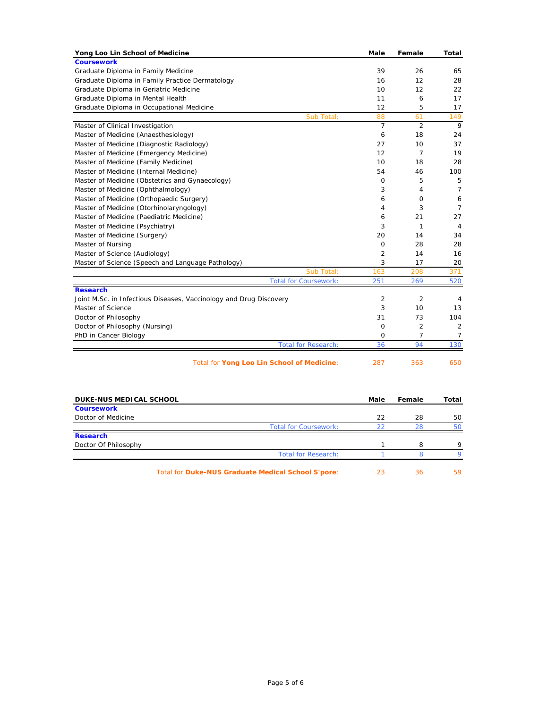| <b>Coursework</b><br>Graduate Diploma in Family Medicine<br>39<br>26<br>Graduate Diploma in Family Practice Dermatology<br>12<br>16<br>Graduate Diploma in Geriatric Medicine<br>10<br>12<br>Graduate Diploma in Mental Health<br>11<br>6<br>12<br>5<br>Graduate Diploma in Occupational Medicine<br>Sub Total:<br>88<br>61<br>$\overline{7}$<br>2<br>Master of Clinical Investigation<br>Master of Medicine (Anaesthesiology)<br>6<br>18<br>Master of Medicine (Diagnostic Radiology)<br>10<br>27<br>Master of Medicine (Emergency Medicine)<br>12<br>$\overline{7}$<br>18<br>Master of Medicine (Family Medicine)<br>10<br>54<br>Master of Medicine (Internal Medicine)<br>46<br>Master of Medicine (Obstetrics and Gynaecology)<br>5<br>$\mathbf 0$<br>Master of Medicine (Ophthalmology)<br>3<br>4<br>Master of Medicine (Orthopaedic Surgery)<br>6<br>0<br>Master of Medicine (Otorhinolaryngology)<br>3<br>4<br>Master of Medicine (Paediatric Medicine)<br>21<br>6<br>Master of Medicine (Psychiatry)<br>3<br>1<br>Master of Medicine (Surgery)<br>20<br>14<br>Master of Nursing<br>$\circ$<br>28<br>Master of Science (Audiology)<br>$\overline{2}$<br>14 | 65<br>28<br>22<br>17<br>17<br>149 |
|-------------------------------------------------------------------------------------------------------------------------------------------------------------------------------------------------------------------------------------------------------------------------------------------------------------------------------------------------------------------------------------------------------------------------------------------------------------------------------------------------------------------------------------------------------------------------------------------------------------------------------------------------------------------------------------------------------------------------------------------------------------------------------------------------------------------------------------------------------------------------------------------------------------------------------------------------------------------------------------------------------------------------------------------------------------------------------------------------------------------------------------------------------------------|-----------------------------------|
|                                                                                                                                                                                                                                                                                                                                                                                                                                                                                                                                                                                                                                                                                                                                                                                                                                                                                                                                                                                                                                                                                                                                                                   |                                   |
|                                                                                                                                                                                                                                                                                                                                                                                                                                                                                                                                                                                                                                                                                                                                                                                                                                                                                                                                                                                                                                                                                                                                                                   |                                   |
|                                                                                                                                                                                                                                                                                                                                                                                                                                                                                                                                                                                                                                                                                                                                                                                                                                                                                                                                                                                                                                                                                                                                                                   |                                   |
|                                                                                                                                                                                                                                                                                                                                                                                                                                                                                                                                                                                                                                                                                                                                                                                                                                                                                                                                                                                                                                                                                                                                                                   |                                   |
|                                                                                                                                                                                                                                                                                                                                                                                                                                                                                                                                                                                                                                                                                                                                                                                                                                                                                                                                                                                                                                                                                                                                                                   |                                   |
|                                                                                                                                                                                                                                                                                                                                                                                                                                                                                                                                                                                                                                                                                                                                                                                                                                                                                                                                                                                                                                                                                                                                                                   |                                   |
|                                                                                                                                                                                                                                                                                                                                                                                                                                                                                                                                                                                                                                                                                                                                                                                                                                                                                                                                                                                                                                                                                                                                                                   |                                   |
|                                                                                                                                                                                                                                                                                                                                                                                                                                                                                                                                                                                                                                                                                                                                                                                                                                                                                                                                                                                                                                                                                                                                                                   | 9                                 |
|                                                                                                                                                                                                                                                                                                                                                                                                                                                                                                                                                                                                                                                                                                                                                                                                                                                                                                                                                                                                                                                                                                                                                                   | 24                                |
|                                                                                                                                                                                                                                                                                                                                                                                                                                                                                                                                                                                                                                                                                                                                                                                                                                                                                                                                                                                                                                                                                                                                                                   | 37                                |
|                                                                                                                                                                                                                                                                                                                                                                                                                                                                                                                                                                                                                                                                                                                                                                                                                                                                                                                                                                                                                                                                                                                                                                   | 19                                |
|                                                                                                                                                                                                                                                                                                                                                                                                                                                                                                                                                                                                                                                                                                                                                                                                                                                                                                                                                                                                                                                                                                                                                                   | 28                                |
|                                                                                                                                                                                                                                                                                                                                                                                                                                                                                                                                                                                                                                                                                                                                                                                                                                                                                                                                                                                                                                                                                                                                                                   | 100                               |
|                                                                                                                                                                                                                                                                                                                                                                                                                                                                                                                                                                                                                                                                                                                                                                                                                                                                                                                                                                                                                                                                                                                                                                   | 5                                 |
|                                                                                                                                                                                                                                                                                                                                                                                                                                                                                                                                                                                                                                                                                                                                                                                                                                                                                                                                                                                                                                                                                                                                                                   | $\overline{7}$                    |
|                                                                                                                                                                                                                                                                                                                                                                                                                                                                                                                                                                                                                                                                                                                                                                                                                                                                                                                                                                                                                                                                                                                                                                   | 6                                 |
|                                                                                                                                                                                                                                                                                                                                                                                                                                                                                                                                                                                                                                                                                                                                                                                                                                                                                                                                                                                                                                                                                                                                                                   | $\overline{7}$                    |
|                                                                                                                                                                                                                                                                                                                                                                                                                                                                                                                                                                                                                                                                                                                                                                                                                                                                                                                                                                                                                                                                                                                                                                   | 27                                |
|                                                                                                                                                                                                                                                                                                                                                                                                                                                                                                                                                                                                                                                                                                                                                                                                                                                                                                                                                                                                                                                                                                                                                                   | $\overline{4}$                    |
|                                                                                                                                                                                                                                                                                                                                                                                                                                                                                                                                                                                                                                                                                                                                                                                                                                                                                                                                                                                                                                                                                                                                                                   | 34                                |
|                                                                                                                                                                                                                                                                                                                                                                                                                                                                                                                                                                                                                                                                                                                                                                                                                                                                                                                                                                                                                                                                                                                                                                   | 28                                |
|                                                                                                                                                                                                                                                                                                                                                                                                                                                                                                                                                                                                                                                                                                                                                                                                                                                                                                                                                                                                                                                                                                                                                                   | 16                                |
| 3<br>Master of Science (Speech and Language Pathology)<br>17                                                                                                                                                                                                                                                                                                                                                                                                                                                                                                                                                                                                                                                                                                                                                                                                                                                                                                                                                                                                                                                                                                      | 20                                |
| Sub Total:<br>163<br>208                                                                                                                                                                                                                                                                                                                                                                                                                                                                                                                                                                                                                                                                                                                                                                                                                                                                                                                                                                                                                                                                                                                                          | 371                               |
| <b>Total for Coursework:</b><br>251<br>269                                                                                                                                                                                                                                                                                                                                                                                                                                                                                                                                                                                                                                                                                                                                                                                                                                                                                                                                                                                                                                                                                                                        | 520                               |
| <b>Research</b>                                                                                                                                                                                                                                                                                                                                                                                                                                                                                                                                                                                                                                                                                                                                                                                                                                                                                                                                                                                                                                                                                                                                                   |                                   |
| $\overline{2}$<br>2<br>Joint M.Sc. in Infectious Diseases, Vaccinology and Drug Discovery                                                                                                                                                                                                                                                                                                                                                                                                                                                                                                                                                                                                                                                                                                                                                                                                                                                                                                                                                                                                                                                                         | $\overline{4}$                    |
| 3<br>Master of Science<br>10                                                                                                                                                                                                                                                                                                                                                                                                                                                                                                                                                                                                                                                                                                                                                                                                                                                                                                                                                                                                                                                                                                                                      | 13                                |
| Doctor of Philosophy<br>31<br>73                                                                                                                                                                                                                                                                                                                                                                                                                                                                                                                                                                                                                                                                                                                                                                                                                                                                                                                                                                                                                                                                                                                                  | 104                               |
| Doctor of Philosophy (Nursing)<br>$\overline{2}$<br>O                                                                                                                                                                                                                                                                                                                                                                                                                                                                                                                                                                                                                                                                                                                                                                                                                                                                                                                                                                                                                                                                                                             | $\overline{2}$                    |
| $\overline{7}$<br>PhD in Cancer Biology<br>O                                                                                                                                                                                                                                                                                                                                                                                                                                                                                                                                                                                                                                                                                                                                                                                                                                                                                                                                                                                                                                                                                                                      | $\overline{7}$                    |
| 94<br>36<br><b>Total for Research:</b>                                                                                                                                                                                                                                                                                                                                                                                                                                                                                                                                                                                                                                                                                                                                                                                                                                                                                                                                                                                                                                                                                                                            | 130                               |
| Total for Yong Loo Lin School of Medicine:<br>287<br>363                                                                                                                                                                                                                                                                                                                                                                                                                                                                                                                                                                                                                                                                                                                                                                                                                                                                                                                                                                                                                                                                                                          | 650                               |
|                                                                                                                                                                                                                                                                                                                                                                                                                                                                                                                                                                                                                                                                                                                                                                                                                                                                                                                                                                                                                                                                                                                                                                   |                                   |

| <b>DUKE-NUS MEDICAL SCHOOL</b> |                                                    | Male | Female | Total |
|--------------------------------|----------------------------------------------------|------|--------|-------|
| <b>Coursework</b>              |                                                    |      |        |       |
| Doctor of Medicine             |                                                    | 22   | 28     | 50    |
|                                | <b>Total for Coursework:</b>                       | 22   | 28     | 50    |
| <b>Research</b>                |                                                    |      |        |       |
| Doctor Of Philosophy           |                                                    |      | 8      | 9     |
|                                | <b>Total for Research:</b>                         |      |        | о     |
|                                | Total for Duke-NUS Graduate Medical School S'pore: | 23   | 36     | 59    |